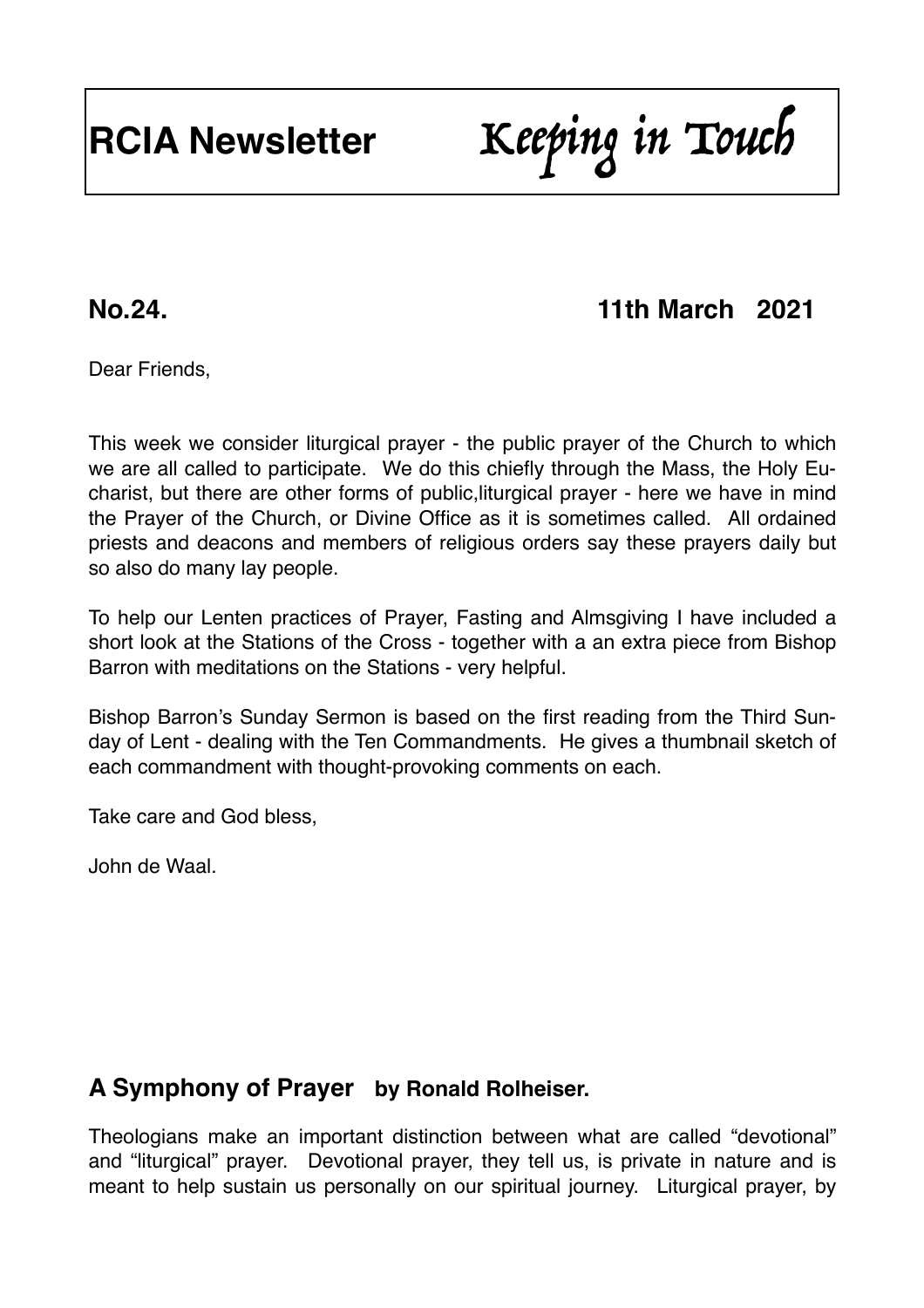# **RCIA Newsletter** Keeping in Touch

## **No.24. 11th March 2021**

Dear Friends,

This week we consider liturgical prayer - the public prayer of the Church to which we are all called to participate. We do this chiefly through the Mass, the Holy Eucharist, but there are other forms of public,liturgical prayer - here we have in mind the Prayer of the Church, or Divine Office as it is sometimes called. All ordained priests and deacons and members of religious orders say these prayers daily but so also do many lay people.

To help our Lenten practices of Prayer, Fasting and Almsgiving I have included a short look at the Stations of the Cross - together with a an extra piece from Bishop Barron with meditations on the Stations - very helpful.

Bishop Barron's Sunday Sermon is based on the first reading from the Third Sunday of Lent - dealing with the Ten Commandments. He gives a thumbnail sketch of each commandment with thought-provoking comments on each.

Take care and God bless,

John de Waal.

#### **A Symphony of Prayer by Ronald Rolheiser.**

Theologians make an important distinction between what are called "devotional" and "liturgical" prayer. Devotional prayer, they tell us, is private in nature and is meant to help sustain us personally on our spiritual journey. Liturgical prayer, by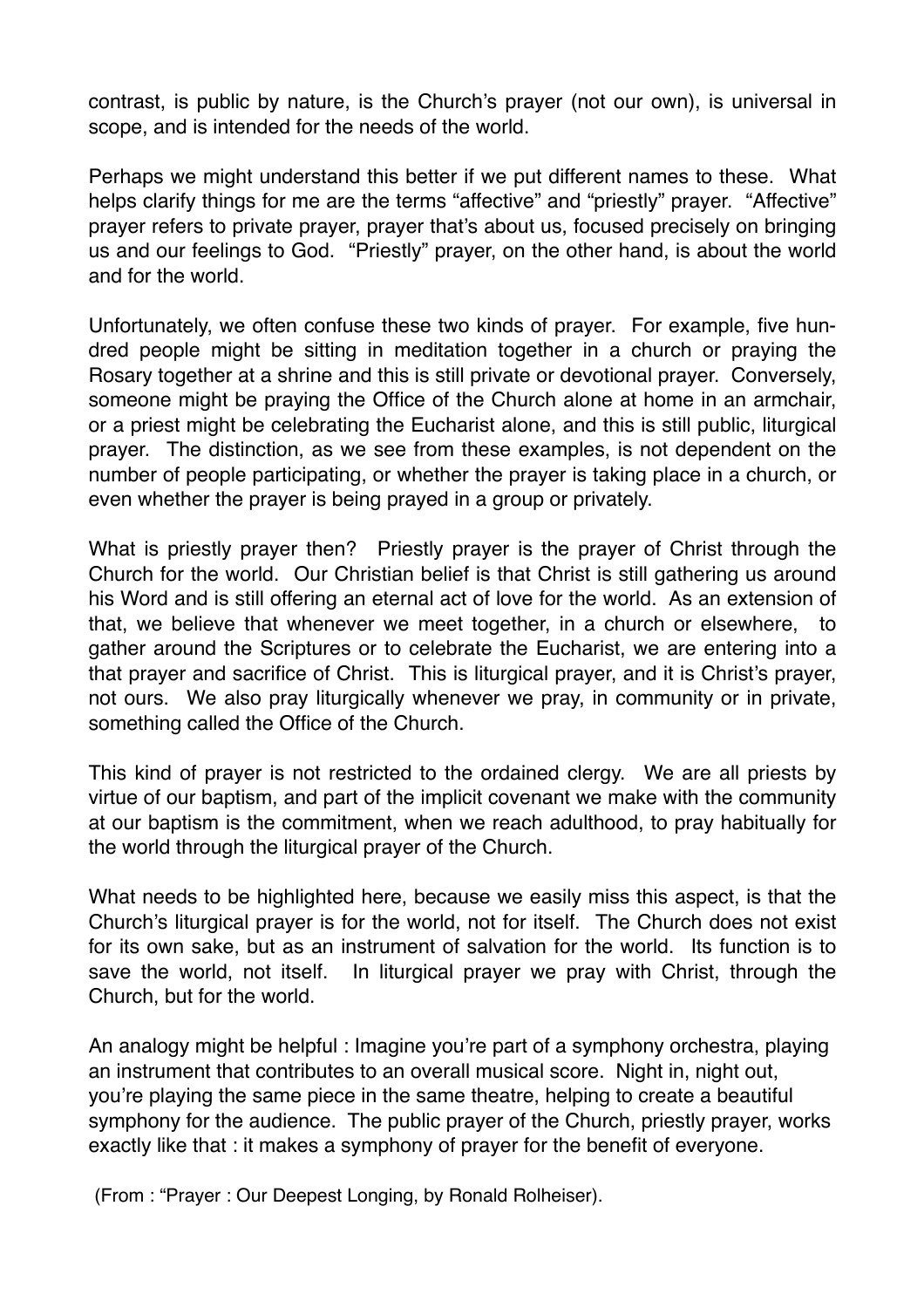contrast, is public by nature, is the Church's prayer (not our own), is universal in scope, and is intended for the needs of the world.

Perhaps we might understand this better if we put different names to these. What helps clarify things for me are the terms "affective" and "priestly" prayer. "Affective" prayer refers to private prayer, prayer that's about us, focused precisely on bringing us and our feelings to God. "Priestly" prayer, on the other hand, is about the world and for the world.

Unfortunately, we often confuse these two kinds of prayer. For example, five hundred people might be sitting in meditation together in a church or praying the Rosary together at a shrine and this is still private or devotional prayer. Conversely, someone might be praving the Office of the Church alone at home in an armchair. or a priest might be celebrating the Eucharist alone, and this is still public, liturgical prayer. The distinction, as we see from these examples, is not dependent on the number of people participating, or whether the prayer is taking place in a church, or even whether the prayer is being prayed in a group or privately.

What is priestly prayer then? Priestly prayer is the prayer of Christ through the Church for the world. Our Christian belief is that Christ is still gathering us around his Word and is still offering an eternal act of love for the world. As an extension of that, we believe that whenever we meet together, in a church or elsewhere, to gather around the Scriptures or to celebrate the Eucharist, we are entering into a that prayer and sacrifice of Christ. This is liturgical prayer, and it is Christ's prayer, not ours. We also pray liturgically whenever we pray, in community or in private, something called the Office of the Church.

This kind of prayer is not restricted to the ordained clergy. We are all priests by virtue of our baptism, and part of the implicit covenant we make with the community at our baptism is the commitment, when we reach adulthood, to pray habitually for the world through the liturgical prayer of the Church.

What needs to be highlighted here, because we easily miss this aspect, is that the Church's liturgical prayer is for the world, not for itself. The Church does not exist for its own sake, but as an instrument of salvation for the world. Its function is to save the world, not itself. In liturgical prayer we pray with Christ, through the Church, but for the world.

An analogy might be helpful : Imagine you're part of a symphony orchestra, playing an instrument that contributes to an overall musical score. Night in, night out, you're playing the same piece in the same theatre, helping to create a beautiful symphony for the audience. The public prayer of the Church, priestly prayer, works exactly like that : it makes a symphony of prayer for the benefit of everyone.

(From : "Prayer : Our Deepest Longing, by Ronald Rolheiser).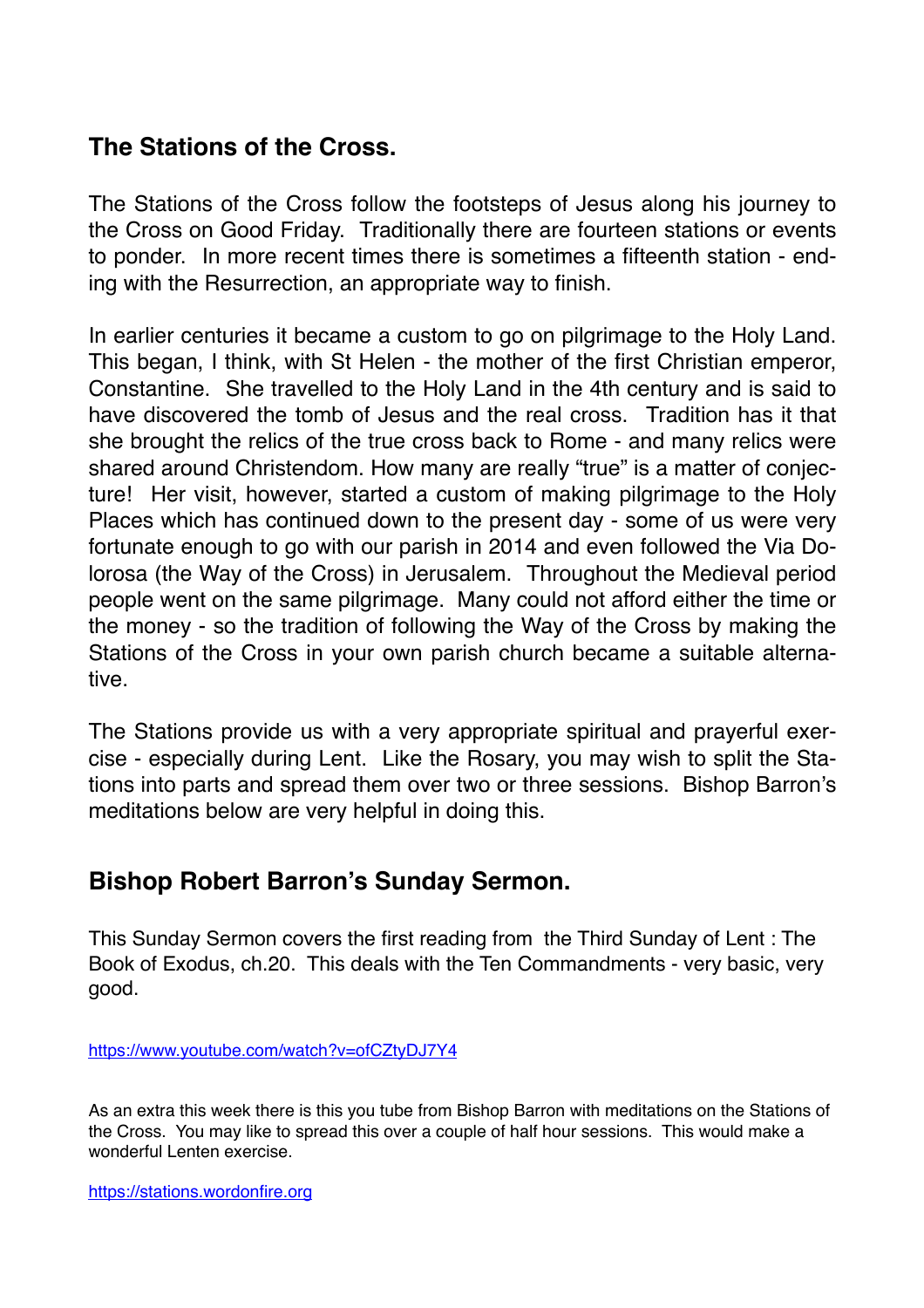#### **The Stations of the Cross.**

The Stations of the Cross follow the footsteps of Jesus along his journey to the Cross on Good Friday. Traditionally there are fourteen stations or events to ponder. In more recent times there is sometimes a fifteenth station - ending with the Resurrection, an appropriate way to finish.

In earlier centuries it became a custom to go on pilgrimage to the Holy Land. This began, I think, with St Helen - the mother of the first Christian emperor, Constantine. She travelled to the Holy Land in the 4th century and is said to have discovered the tomb of Jesus and the real cross. Tradition has it that she brought the relics of the true cross back to Rome - and many relics were shared around Christendom. How many are really "true" is a matter of conjecture! Her visit, however, started a custom of making pilgrimage to the Holy Places which has continued down to the present day - some of us were very fortunate enough to go with our parish in 2014 and even followed the Via Dolorosa (the Way of the Cross) in Jerusalem. Throughout the Medieval period people went on the same pilgrimage. Many could not afford either the time or the money - so the tradition of following the Way of the Cross by making the Stations of the Cross in your own parish church became a suitable alternative.

The Stations provide us with a very appropriate spiritual and prayerful exercise - especially during Lent. Like the Rosary, you may wish to split the Stations into parts and spread them over two or three sessions. Bishop Barron's meditations below are very helpful in doing this.

#### **Bishop Robert Barron's Sunday Sermon.**

This Sunday Sermon covers the first reading from the Third Sunday of Lent : The Book of Exodus, ch.20. This deals with the Ten Commandments - very basic, very good.

<https://www.youtube.com/watch?v=ofCZtyDJ7Y4>

As an extra this week there is this you tube from Bishop Barron with meditations on the Stations of the Cross. You may like to spread this over a couple of half hour sessions. This would make a wonderful Lenten exercise.

<https://stations.wordonfire.org>